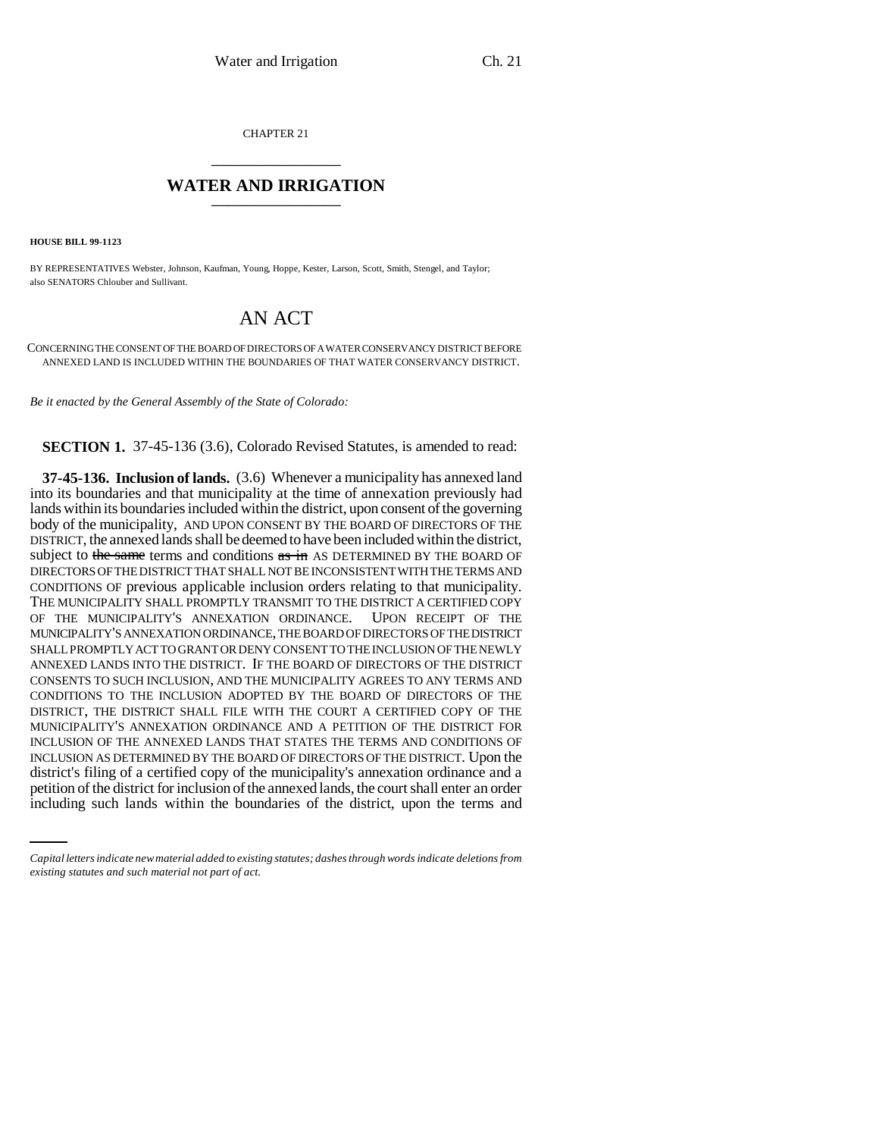CHAPTER 21 \_\_\_\_\_\_\_\_\_\_\_\_\_\_\_

## **WATER AND IRRIGATION** \_\_\_\_\_\_\_\_\_\_\_\_\_\_\_

**HOUSE BILL 99-1123** 

BY REPRESENTATIVES Webster, Johnson, Kaufman, Young, Hoppe, Kester, Larson, Scott, Smith, Stengel, and Taylor; also SENATORS Chlouber and Sullivant.

## AN ACT

CONCERNING THE CONSENT OF THE BOARD OF DIRECTORS OF A WATER CONSERVANCY DISTRICT BEFORE ANNEXED LAND IS INCLUDED WITHIN THE BOUNDARIES OF THAT WATER CONSERVANCY DISTRICT.

*Be it enacted by the General Assembly of the State of Colorado:*

**SECTION 1.** 37-45-136 (3.6), Colorado Revised Statutes, is amended to read:

district's filing of a certified copy of the municipality's annexation ordinance and a **37-45-136. Inclusion of lands.** (3.6) Whenever a municipality has annexed land into its boundaries and that municipality at the time of annexation previously had lands within its boundaries included within the district, upon consent of the governing body of the municipality, AND UPON CONSENT BY THE BOARD OF DIRECTORS OF THE DISTRICT, the annexed lands shall be deemed to have been included within the district, subject to the same terms and conditions  $\frac{a}{b}$  as DETERMINED BY THE BOARD OF DIRECTORS OF THE DISTRICT THAT SHALL NOT BE INCONSISTENT WITH THE TERMS AND CONDITIONS OF previous applicable inclusion orders relating to that municipality. THE MUNICIPALITY SHALL PROMPTLY TRANSMIT TO THE DISTRICT A CERTIFIED COPY OF THE MUNICIPALITY'S ANNEXATION ORDINANCE. UPON RECEIPT OF THE MUNICIPALITY'S ANNEXATION ORDINANCE, THE BOARD OF DIRECTORS OF THE DISTRICT SHALL PROMPTLY ACT TO GRANT OR DENY CONSENT TO THE INCLUSION OF THE NEWLY ANNEXED LANDS INTO THE DISTRICT. IF THE BOARD OF DIRECTORS OF THE DISTRICT CONSENTS TO SUCH INCLUSION, AND THE MUNICIPALITY AGREES TO ANY TERMS AND CONDITIONS TO THE INCLUSION ADOPTED BY THE BOARD OF DIRECTORS OF THE DISTRICT, THE DISTRICT SHALL FILE WITH THE COURT A CERTIFIED COPY OF THE MUNICIPALITY'S ANNEXATION ORDINANCE AND A PETITION OF THE DISTRICT FOR INCLUSION OF THE ANNEXED LANDS THAT STATES THE TERMS AND CONDITIONS OF INCLUSION AS DETERMINED BY THE BOARD OF DIRECTORS OF THE DISTRICT. Upon the petition of the district for inclusion of the annexed lands, the court shall enter an order including such lands within the boundaries of the district, upon the terms and

*Capital letters indicate new material added to existing statutes; dashes through words indicate deletions from existing statutes and such material not part of act.*